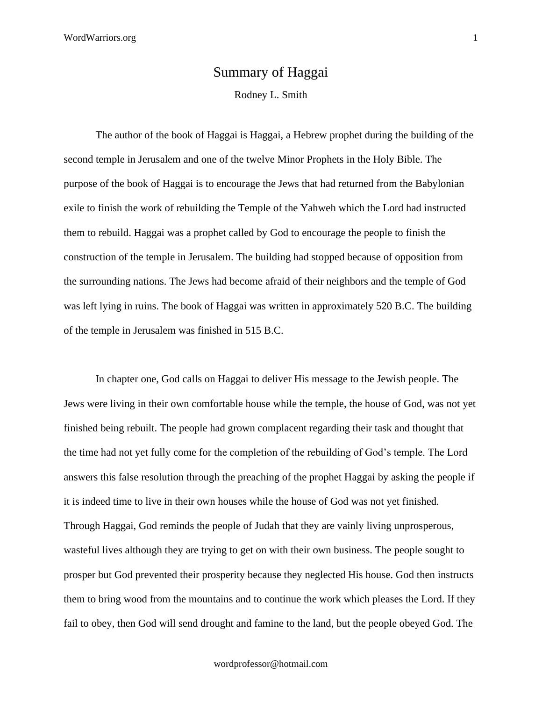## Summary of Haggai

Rodney L. Smith

The author of the book of Haggai is Haggai, a Hebrew prophet during the building of the second temple in Jerusalem and one of the twelve Minor Prophets in the Holy Bible. The purpose of the book of Haggai is to encourage the Jews that had returned from the Babylonian exile to finish the work of rebuilding the Temple of the Yahweh which the Lord had instructed them to rebuild. Haggai was a prophet called by God to encourage the people to finish the construction of the temple in Jerusalem. The building had stopped because of opposition from the surrounding nations. The Jews had become afraid of their neighbors and the temple of God was left lying in ruins. The book of Haggai was written in approximately 520 B.C. The building of the temple in Jerusalem was finished in 515 B.C.

In chapter one, God calls on Haggai to deliver His message to the Jewish people. The Jews were living in their own comfortable house while the temple, the house of God, was not yet finished being rebuilt. The people had grown complacent regarding their task and thought that the time had not yet fully come for the completion of the rebuilding of God's temple. The Lord answers this false resolution through the preaching of the prophet Haggai by asking the people if it is indeed time to live in their own houses while the house of God was not yet finished. Through Haggai, God reminds the people of Judah that they are vainly living unprosperous, wasteful lives although they are trying to get on with their own business. The people sought to prosper but God prevented their prosperity because they neglected His house. God then instructs them to bring wood from the mountains and to continue the work which pleases the Lord. If they fail to obey, then God will send drought and famine to the land, but the people obeyed God. The